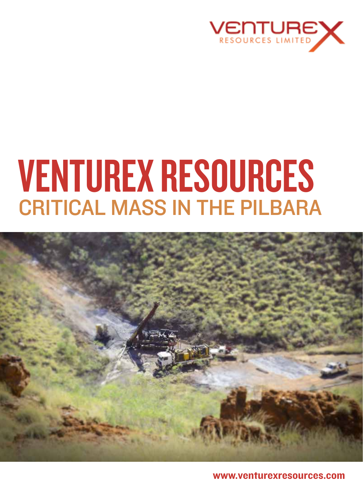

# Venturex Resources CRITICAL MASS IN THE PILBARA



www.venturexresources.com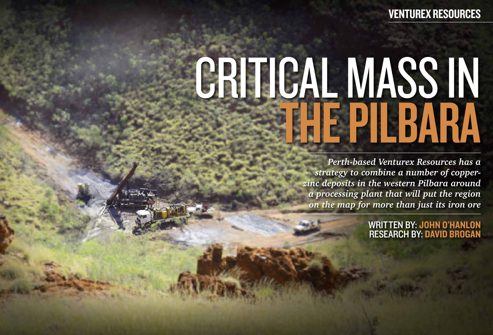# CRITICAL MASS IN



*Perth-based Venturex Resources has a strategy to combine a number of copperzinc deposits in the western Pilbara around a processing plant that will put the region on the map for more than just its iron ore*

WRITTEN BY: JOHN O'HANLON research by: David Brogan

## Venturex Resources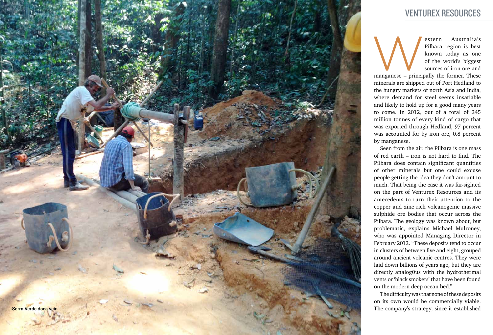

estern Australia's Pilbara region is best<br>
known today as one<br>
of the world's biggest<br>
sources of iron ore and<br>
manganese – principally the former. These Pilbara region is best known today as one of the world's biggest sources of iron ore and

minerals are shipped out of Port Hedland to the hungry markets of north Asia and India, where demand for steel seems insatiable and likely to hold up for a good many years to come. In 2012, out of a total of 245 million tonnes of every kind of cargo that was exported through Hedland, 97 percent was accounted for by iron ore, 0.8 percent by manganese.

Seen from the air, the Pilbara is one mass of red earth – iron is not hard to find. The Pilbara does contain significant quantities of other minerals but one could excuse people getting the idea they don't amount to much. That being the case it was far-sighted on the part of Venturex Resources and its antecedents to turn their attention to the copper and zinc rich volcanogenic massive sulphide ore bodies that occur across the Pilbara. The geology was known about, but problematic, explains Michael Mulroney, who was appointed Managing Director in February 2012. "These deposits tend to occur in clusters of between five and eight, grouped around ancient volcanic centres. They were laid down billions of years ago, but they are directly analog0us with the hydrothermal vents or 'black smokers' that have been found on the modern deep ocean bed."

The difficulty was that none of these deposits on its own would be commercially viable. The company's strategy, since it established

### Venturex Resources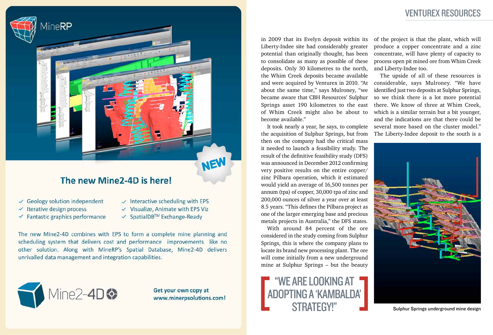

### The new Mine2-4D is here!

- $\checkmark$  Geology solution independent
- $\checkmark$  Iterative design process
- $\checkmark$  Fantastic graphics performance
- $\vee$  Interactive scheduling with EPS
- $\checkmark$  Visualize, Animate with EPS Viz
- ✔ SpatialDB™ Exchange-Ready

The new Mine2-4D combines with EPS to form a complete mine planning and scheduling system that delivers cost and performance improvements like no other solution. Along with MineRP's Spatial Database, Mine2-4D delivers unrivalled data management and integration capabilities.



Get your own copy at www.minerpsolutions.com! in 2009 that its Evelyn deposit within its Liberty-Indee site had considerably greater potential than originally thought, has been to consolidate as many as possible of these deposits. Only 30 kilometres to the north, the Whim Creek deposits became available and were acquired by Venturex in 2010. "At considerable, says Mulroney. "We have about the same time," says Mulroney, "we became aware that CBH Resources' Sulphur Springs asset 190 kilometres to the east of Whim Creek might also be about to become available."

It took nearly a year, he says, to complete the acquisition of Sulphur Springs, but from then on the company had the critical mass it needed to launch a feasibility study. The result of the definitive feasibility study (DFS) was announced in December 2012 confirming very positive results on the entire copper/ zinc Pilbara operation, which it estimated would yield an average of 16,500 tonnes per annum (tpa) of copper, 30,000 tpa of zinc and 200,000 ounces of silver a year over at least 8.5 years. "This defines the Pilbara project as one of the larger emerging base and precious metals projects in Australia," the DFS states.

"We are looking at adopting a 'Kambalda' STRATEGY!"

With around 84 percent of the ore considered in the study coming from Sulphur Springs, this is where the company plans to locate its brand new processing plant. The ore will come initially from a new underground mine at Sulphur Springs – but the beauty

of the project is that the plant, which will produce a copper concentrate and a zinc concentrate, will have plenty of capacity to process open pit mined ore from Whim Creek and Liberty-Indee too.

The upside of all of these resources is identified just two deposits at Sulphur Springs, so we think there is a lot more potential there. We know of three at Whim Creek, which is a similar terrain but a bit younger, and the indications are that there could be several more based on the cluster model." The Liberty-Indee deposit to the south is a



Sulphur Springs underground mine design

### Venturex Resources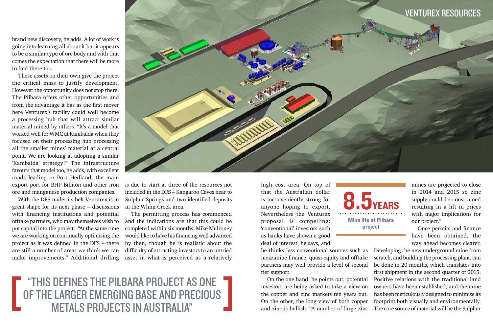"This defines the Pilbara project as one of the larger emerging base and precious metals projects in Australia"



brand new discovery, he adds. A lot of work is going into learning all about it but it appears to be a similar type of ore body and with that comes the expectation that there will be more to find there too.

These assets on their own give the project the critical mass to justify development. However the opportunity does not stop there. The Pilbara offers other opportunities and from the advantage it has as the first mover here Venturex's facility could well become a processing hub that will attract similar material mined by others. "It's a model that worked well for WMC at Kambalda when they focused on their processing hub processing all the smaller mines' material at a central point. We are looking at adopting a similar 'Kambalda' strategy!" The infrastructure favours that model too, he adds, with excellent roads leading to Port Hedland, the main export port for BHP Billiton and other iron ore and manganese production companies.

With the DFS under its belt Venturex is in great shape for its next phase – discussions with financing institutions and potential offtake partners, who may themselves wish to put capital into the project. "At the same time we are working on continually optimising the project as it was defined in the DFS – there are still a number of areas we think we can make improvements." Additional drilling

is due to start at three of the resources not included in the DFS – Kangaroo Caves near to Sulphur Springs and two identified deposits in the Whim Creek area.

The permitting process has commenced and the indications are that this could be completed within six months. Mike Mulroney would like to have his financing well advanced by then, though he is realistic about the difficulty of attracting investors to an untried asset in what is perceived as a relatively

high cost area. On top of that the Australian dollar is inconveniently strong for anyone hoping to export. Nevertheless the Venturex proposal is compelling: 'conventional' investors such as banks have shown a good deal of interest, he says, and

he thinks less conventional sources such as mezzanine finance, quasi-equity and offtake partners may well provide a level of second tier support.

On the one hand, he points out, potential investors are being asked to take a view on the copper and zinc markets ten years out. On the other, the long view of both copper and zinc is bullish. "A number of large zinc



mines are projected to close in 2014 and 2015 so zinc supply could be constrained resulting in a lift in prices with major implications for our project."

Once permits and finance have been obtained, the way ahead becomes clearer.

Developing the new underground mine from scratch, and building the processing plant, can be done in 20 months, which translates into first shipment in the second quarter of 2015. Positive relations with the traditional land owners have been established, and the mine has been meticulously designed to minimise its footprint both visually and environmentally. The core source of material will be the Sulphur

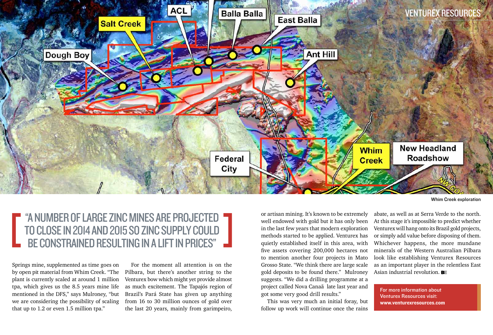Springs mine, supplemented as time goes on by open pit material from Whim Creek. "The plant is currently scaled at around 1 million tpa, which gives us the 8.5 years mine life mentioned in the DFS," says Mulroney, "but we are considering the possibility of scaling that up to 1.2 or even 1.5 million tpa."

For the moment all attention is on the Pilbara, but there's another string to the Venturex bow which might yet provide almost as much excitement. The Tapajós region of Brazil's Pará State has given up anything from 16 to 30 million ounces of gold over the last 20 years, mainly from garimpeiro,

abate, as well as at Serra Verde to the north. At this stage it's impossible to predict whether Venturex will hang onto its Brazil gold projects, or simply add value before disposing of them. Whichever happens, the more mundane minerals of the Western Australian Pilbara look like establishing Venturex Resources as an important player in the relentless East Asian industrial revolution. **BE** 

or artisan mining. It's known to be extremely well endowed with gold but it has only been in the last few years that modern exploration methods started to be applied. Venturex has quietly established itself in this area, with five assets covering 200,000 hectares not to mention another four projects in Mato Grosso State. "We think there are large scale gold deposits to be found there." Mulroney suggests. "We did a drilling programme at a project called Nova Canaã late last year and got some very good drill results."

This was very much an initial foray, but follow up work will continue once the rains

Whim Creek exploration



For more information about Venturex Resources visit: www.venturexresources.com

### "A number of large zinc mines are projected to close in 2014 and 2015 so zinc supply could be constrained resulting in a lift in prices"